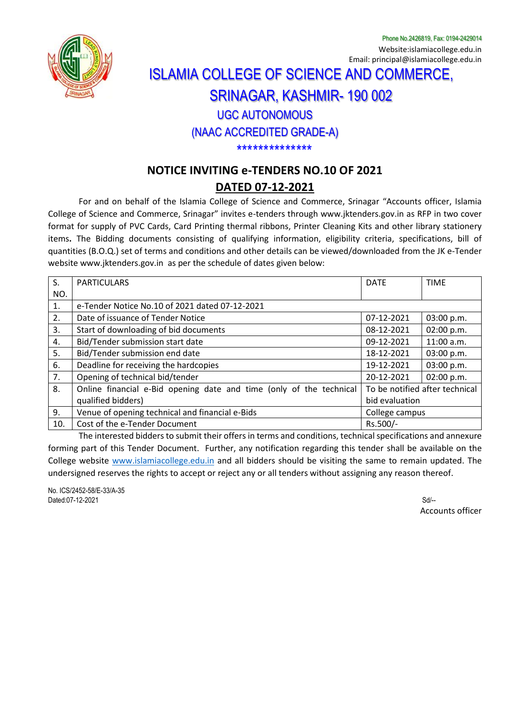

Phone No.2426819, Fax: 0194-2429014 Website:islamiacollege.edu.in Email: principal@islamiacollege.edu.in

## ISLAMIA COLLEGE OF SCIENCE AND COMMERCE, SRINAGAR, KASHMIR- 190 002 UGC AUTONOMOUS (NAAC ACCREDITED GRADE-A)

\*\*\*\*\*\*\*\*\*\*\*\*\*\*

## **NOTICE INVITING e-TENDERS NO.10 OF 2021**

## **DATED 07-12-2021**

For and on behalf of the Islamia College of Science and Commerce, Srinagar "Accounts officer, Islamia College of Science and Commerce, Srinagar" invites e-tenders through [www.jktenders.gov.in](http://www.jktenders.gov.in/) as RFP in two cover format for supply of PVC Cards, Card Printing thermal ribbons, Printer Cleaning Kits and other library stationery items**.** The Bidding documents consisting of qualifying information, eligibility criteria, specifications, bill of quantities (B.O.Q.) set of terms and conditions and other details can be viewed/downloaded from the JK e-Tender website [www.jktenders.gov.in](http://www.jktenders.gov.in/) as per the schedule of dates given below:

| S.  | <b>PARTICULARS</b>                                                  | <b>DATE</b>                    | <b>TIME</b>  |
|-----|---------------------------------------------------------------------|--------------------------------|--------------|
| NO. |                                                                     |                                |              |
| 1.  | e-Tender Notice No.10 of 2021 dated 07-12-2021                      |                                |              |
| 2.  | Date of issuance of Tender Notice                                   | 07-12-2021                     | 03:00 p.m.   |
| 3.  | Start of downloading of bid documents                               | 08-12-2021                     | 02:00 p.m.   |
| 4.  | Bid/Tender submission start date                                    | 09-12-2021                     | $11:00$ a.m. |
| 5.  | Bid/Tender submission end date                                      | 18-12-2021                     | 03:00 p.m.   |
| 6.  | Deadline for receiving the hardcopies                               | 19-12-2021                     | 03:00 p.m.   |
| 7.  | Opening of technical bid/tender                                     | 20-12-2021                     | 02:00 p.m.   |
| 8.  | Online financial e-Bid opening date and time (only of the technical | To be notified after technical |              |
|     | qualified bidders)                                                  | bid evaluation                 |              |
| 9.  | Venue of opening technical and financial e-Bids                     | College campus                 |              |
| 10. | Cost of the e-Tender Document                                       | Rs.500/-                       |              |

The interested bidders to submit their offers in terms and conditions, technical specifications and annexure forming part of this Tender Document. Further, any notification regarding this tender shall be available on the College website [www.islamiacollege.edu.in](http://www.islamiacollege.edu.in/) and all bidders should be visiting the same to remain updated. The undersigned reserves the rights to accept or reject any or all tenders without assigning any reason thereof.

No. ICS/2452-58/E-33/A-35 Dated:07-12-2021 Sd/--

Accounts officer